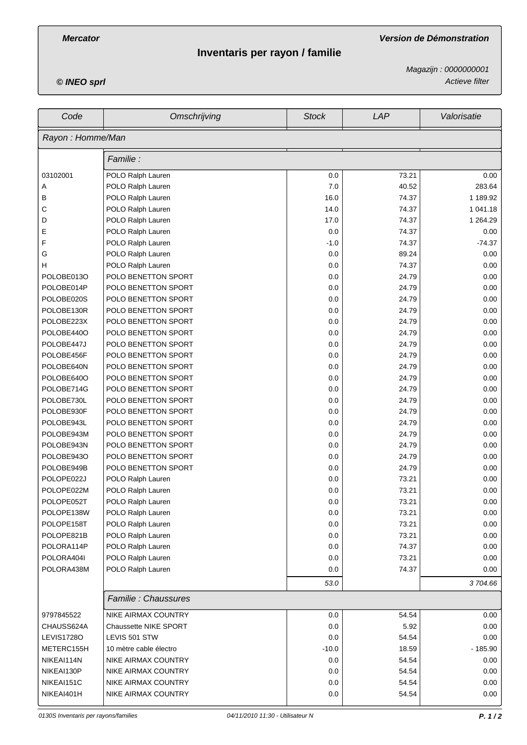# **Inventaris per rayon / familie**

*Mercator Version de Démonstration*

*© INEO sprl Actieve filter Magazijn : 0000000001*

| Code              | Omschrijving                 | <b>Stock</b> | LAP   | Valorisatie |  |  |
|-------------------|------------------------------|--------------|-------|-------------|--|--|
| Rayon: Homme/Man  |                              |              |       |             |  |  |
|                   | Familie :                    |              |       |             |  |  |
| 03102001          | POLO Ralph Lauren            | 0.0          | 73.21 | 0.00        |  |  |
| Α                 | POLO Ralph Lauren            | 7.0          | 40.52 | 283.64      |  |  |
| В                 | POLO Ralph Lauren            | 16.0         | 74.37 | 1 189.92    |  |  |
| С                 | POLO Ralph Lauren            | 14.0         | 74.37 | 1 041.18    |  |  |
| D                 | POLO Ralph Lauren            | 17.0         | 74.37 | 1 264.29    |  |  |
| Ε                 | POLO Ralph Lauren            | 0.0          | 74.37 | 0.00        |  |  |
| F                 | POLO Ralph Lauren            | $-1.0$       | 74.37 | $-74.37$    |  |  |
| G                 | POLO Ralph Lauren            | 0.0          | 89.24 | 0.00        |  |  |
| н                 | POLO Ralph Lauren            | 0.0          | 74.37 | 0.00        |  |  |
| POLOBE013O        | POLO BENETTON SPORT          | 0.0          | 24.79 | 0.00        |  |  |
| POLOBE014P        | POLO BENETTON SPORT          | 0.0          | 24.79 | 0.00        |  |  |
| POLOBE020S        | POLO BENETTON SPORT          | 0.0          | 24.79 | 0.00        |  |  |
| POLOBE130R        | POLO BENETTON SPORT          | 0.0          | 24.79 | 0.00        |  |  |
| POLOBE223X        | POLO BENETTON SPORT          | 0.0          | 24.79 | 0.00        |  |  |
| POLOBE440O        | POLO BENETTON SPORT          | 0.0          | 24.79 | 0.00        |  |  |
| POLOBE447J        | POLO BENETTON SPORT          | 0.0          | 24.79 | 0.00        |  |  |
| POLOBE456F        | POLO BENETTON SPORT          | 0.0          | 24.79 | 0.00        |  |  |
| POLOBE640N        | POLO BENETTON SPORT          | 0.0          | 24.79 | 0.00        |  |  |
| POLOBE640O        | POLO BENETTON SPORT          | 0.0          | 24.79 | 0.00        |  |  |
| POLOBE714G        | POLO BENETTON SPORT          | 0.0          | 24.79 | 0.00        |  |  |
| POLOBE730L        | POLO BENETTON SPORT          | 0.0          | 24.79 | 0.00        |  |  |
| POLOBE930F        | POLO BENETTON SPORT          | 0.0          | 24.79 | 0.00        |  |  |
| POLOBE943L        | POLO BENETTON SPORT          | 0.0          | 24.79 | 0.00        |  |  |
| POLOBE943M        | POLO BENETTON SPORT          | 0.0          | 24.79 | 0.00        |  |  |
| POLOBE943N        | POLO BENETTON SPORT          | 0.0          | 24.79 | 0.00        |  |  |
| POLOBE943O        | POLO BENETTON SPORT          | 0.0          | 24.79 | 0.00        |  |  |
| POLOBE949B        | POLO BENETTON SPORT          | 0.0          | 24.79 | 0.00        |  |  |
| POLOPE022J        | POLO Ralph Lauren            | 0.0          | 73.21 | 0.00        |  |  |
| POLOPE022M        | POLO Ralph Lauren            | 0.0          | 73.21 | 0.00        |  |  |
| POLOPE052T        | POLO Ralph Lauren            | 0.0          | 73.21 | 0.00        |  |  |
| POLOPE138W        | POLO Ralph Lauren            | 0.0          | 73.21 | 0.00        |  |  |
| POLOPE158T        | POLO Ralph Lauren            | 0.0          | 73.21 | 0.00        |  |  |
| POLOPE821B        | POLO Ralph Lauren            | 0.0          | 73.21 | 0.00        |  |  |
| POLORA114P        | POLO Ralph Lauren            | 0.0          | 74.37 | 0.00        |  |  |
| POLORA404I        | POLO Ralph Lauren            | 0.0          | 73.21 | 0.00        |  |  |
| POLORA438M        | POLO Ralph Lauren            | 0.0          | 74.37 | 0.00        |  |  |
|                   |                              | 53.0         |       | 3704.66     |  |  |
|                   | Familie: Chaussures          |              |       |             |  |  |
| 9797845522        | NIKE AIRMAX COUNTRY          | 0.0          | 54.54 | 0.00        |  |  |
| CHAUSS624A        | <b>Chaussette NIKE SPORT</b> | 0.0          | 5.92  | 0.00        |  |  |
| <b>LEVIS17280</b> | LEVIS 501 STW                | 0.0          | 54.54 | 0.00        |  |  |
| METERC155H        | 10 mètre cable électro       | $-10.0$      | 18.59 | $-185.90$   |  |  |
| NIKEAI114N        | NIKE AIRMAX COUNTRY          | 0.0          | 54.54 | 0.00        |  |  |
| NIKEAI130P        | NIKE AIRMAX COUNTRY          | 0.0          | 54.54 | 0.00        |  |  |
| NIKEAI151C        | NIKE AIRMAX COUNTRY          | 0.0          | 54.54 | 0.00        |  |  |
| NIKEAI401H        | NIKE AIRMAX COUNTRY          | 0.0          | 54.54 | 0.00        |  |  |
|                   |                              |              |       |             |  |  |